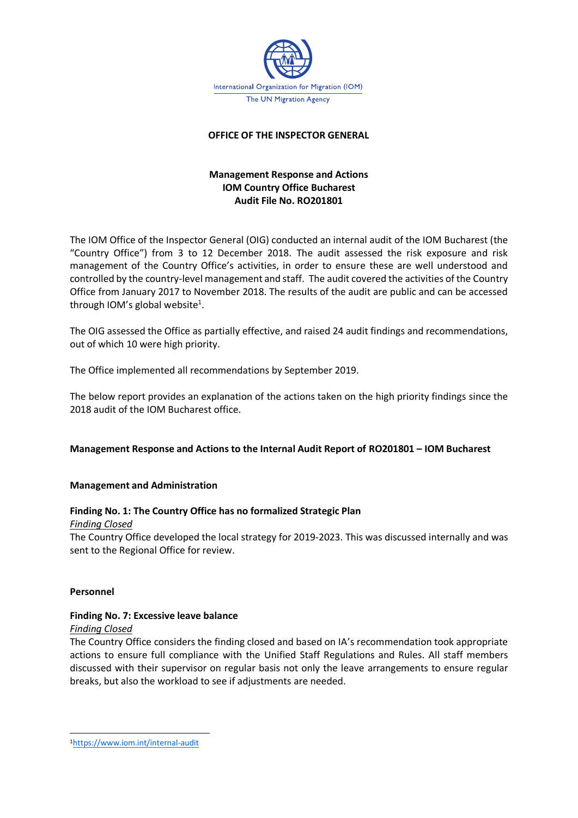

# **OFFICE OF THE INSPECTOR GENERAL**

# **Management Response and Actions IOM Country Office Bucharest Audit File No. RO201801**

The IOM Office of the Inspector General (OIG) conducted an internal audit of the IOM Bucharest (the "Country Office") from 3 to 12 December 2018. The audit assessed the risk exposure and risk management of the Country Office's activities, in order to ensure these are well understood and controlled by the country-level management and staff. The audit covered the activities of the Country Office from January 2017 to November 2018. The results of the audit are public and can be accessed through IOM's global website<sup>1</sup>.

The OIG assessed the Office as partially effective, and raised 24 audit findings and recommendations, out of which 10 were high priority.

The Office implemented all recommendations by September 2019.

The below report provides an explanation of the actions taken on the high priority findings since the 2018 audit of the IOM Bucharest office.

# **Management Response and Actions to the Internal Audit Report of RO201801 – IOM Bucharest**

# **Management and Administration**

# **Finding No. 1: The Country Office has no formalized Strategic Plan**

#### *Finding Closed*

The Country Office developed the local strategy for 2019-2023. This was discussed internally and was sent to the Regional Office for review.

# **Personnel**

# **Finding No. 7: Excessive leave balance**

#### *Finding Closed*

The Country Office considers the finding closed and based on IA's recommendation took appropriate actions to ensure full compliance with the Unified Staff Regulations and Rules. All staff members discussed with their supervisor on regular basis not only the leave arrangements to ensure regular breaks, but also the workload to see if adjustments are needed.

<sup>1</sup><https://www.iom.int/internal-audit>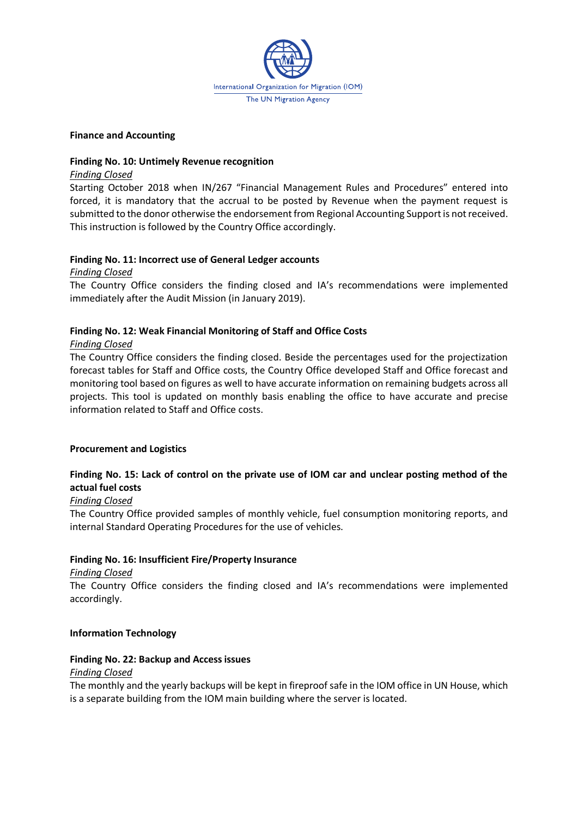

#### **Finance and Accounting**

#### **Finding No. 10: Untimely Revenue recognition**

#### *Finding Closed*

Starting October 2018 when IN/267 "Financial Management Rules and Procedures" entered into forced, it is mandatory that the accrual to be posted by Revenue when the payment request is submitted to the donor otherwise the endorsement from Regional Accounting Support is not received. This instruction is followed by the Country Office accordingly.

# **Finding No. 11: Incorrect use of General Ledger accounts**

*Finding Closed*

The Country Office considers the finding closed and IA's recommendations were implemented immediately after the Audit Mission (in January 2019).

# **Finding No. 12: Weak Financial Monitoring of Staff and Office Costs**

# *Finding Closed*

The Country Office considers the finding closed. Beside the percentages used for the projectization forecast tables for Staff and Office costs, the Country Office developed Staff and Office forecast and monitoring tool based on figures as well to have accurate information on remaining budgets across all projects. This tool is updated on monthly basis enabling the office to have accurate and precise information related to Staff and Office costs.

# **Procurement and Logistics**

# **Finding No. 15: Lack of control on the private use of IOM car and unclear posting method of the actual fuel costs**

# *Finding Closed*

The Country Office provided samples of monthly vehicle, fuel consumption monitoring reports, and internal Standard Operating Procedures for the use of vehicles.

# **Finding No. 16: Insufficient Fire/Property Insurance**

# *Finding Closed*

The Country Office considers the finding closed and IA's recommendations were implemented accordingly.

# **Information Technology**

# **Finding No. 22: Backup and Access issues**

# *Finding Closed*

The monthly and the yearly backups will be kept in fireproof safe in the IOM office in UN House, which is a separate building from the IOM main building where the server is located.